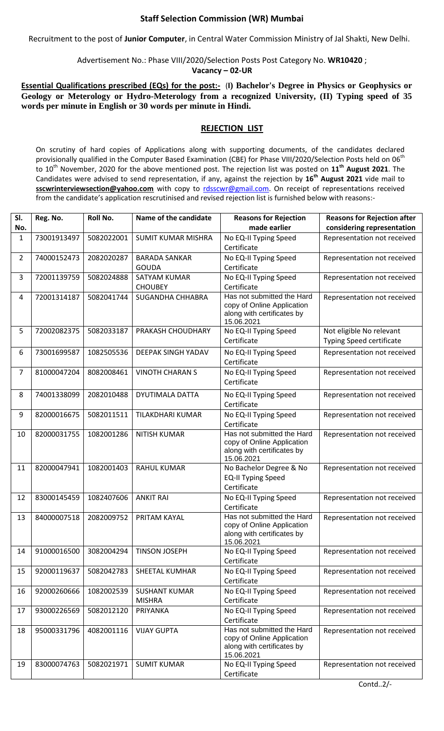## **Staff Selection Commission (WR) Mumbai**

Recruitment to the post of **Junior Computer**, in Central Water Commission Ministry of Jal Shakti, New Delhi.

Advertisement No.: Phase VIII/2020/Selection Posts Post Category No. **WR10420** ;

**Vacancy – 02-UR**

**Essential Qualifications prescribed (EQs) for the post:-** (1) Bachelor's Degree in Physics or Geophysics or **Geology or Meterology or Hydro-Meterology from a recognized University, (II) Typing speed of 35 words per minute in English or 30 words per minute in Hindi.**

## **REJECTION LIST**

On scrutiny of hard copies of Applications along with supporting documents, of the candidates declared provisionally qualified in the Computer Based Examination (CBE) for Phase VIII/2020/Selection Posts held on 06<sup>th</sup> to 10th November, 2020 for the above mentioned post. The rejection list was posted on **11 th August 2021**. The Candidates were advised to send representation, if any, against the rejection by **16 th August 2021** vide mail to sscwrinterviewsection@yahoo.com with copy to [rdsscwr@gmail.com.](mailto:rdsscwr@gmail.com) On receipt of representations received from the candidate's application rescrutinised and revised rejection list is furnished below with reasons:-

| SI.<br>No. | Reg. No.    | Roll No.   | Name of the candidate                 | <b>Reasons for Rejection</b><br>made earlier                                                         | <b>Reasons for Rejection after</b><br>considering representation |
|------------|-------------|------------|---------------------------------------|------------------------------------------------------------------------------------------------------|------------------------------------------------------------------|
| 1          | 73001913497 | 5082022001 | <b>SUMIT KUMAR MISHRA</b>             | No EQ-II Typing Speed<br>Certificate                                                                 | Representation not received                                      |
| 2          | 74000152473 | 2082020287 | <b>BARADA SANKAR</b><br><b>GOUDA</b>  | No EQ-II Typing Speed<br>Certificate                                                                 | Representation not received                                      |
| 3          | 72001139759 | 5082024888 | <b>SATYAM KUMAR</b><br><b>CHOUBEY</b> | No EQ-II Typing Speed<br>Certificate                                                                 | Representation not received                                      |
| 4          | 72001314187 | 5082041744 | <b>SUGANDHA CHHABRA</b>               | Has not submitted the Hard<br>copy of Online Application<br>along with certificates by<br>15.06.2021 | Representation not received                                      |
| 5          | 72002082375 | 5082033187 | PRAKASH CHOUDHARY                     | No EQ-II Typing Speed<br>Certificate                                                                 | Not eligible No relevant<br><b>Typing Speed certificate</b>      |
| 6          | 73001699587 | 1082505536 | <b>DEEPAK SINGH YADAV</b>             | No EQ-II Typing Speed<br>Certificate                                                                 | Representation not received                                      |
| 7          | 81000047204 | 8082008461 | <b>VINOTH CHARAN S</b>                | No EQ-II Typing Speed<br>Certificate                                                                 | Representation not received                                      |
| 8          | 74001338099 | 2082010488 | DYUTIMALA DATTA                       | No EQ-II Typing Speed<br>Certificate                                                                 | Representation not received                                      |
| 9          | 82000016675 | 5082011511 | TILAKDHARI KUMAR                      | No EQ-II Typing Speed<br>Certificate                                                                 | Representation not received                                      |
| 10         | 82000031755 | 1082001286 | <b>NITISH KUMAR</b>                   | Has not submitted the Hard<br>copy of Online Application<br>along with certificates by<br>15.06.2021 | Representation not received                                      |
| 11         | 82000047941 | 1082001403 | <b>RAHUL KUMAR</b>                    | No Bachelor Degree & No<br><b>EQ-II Typing Speed</b><br>Certificate                                  | Representation not received                                      |
| 12         | 83000145459 | 1082407606 | <b>ANKIT RAI</b>                      | No EQ-II Typing Speed<br>Certificate                                                                 | Representation not received                                      |
| 13         | 84000007518 | 2082009752 | PRITAM KAYAL                          | Has not submitted the Hard<br>copy of Online Application<br>along with certificates by<br>15.06.2021 | Representation not received                                      |
| 14         | 91000016500 | 3082004294 | <b>TINSON JOSEPH</b>                  | No EQ-II Typing Speed<br>Certificate                                                                 | Representation not received                                      |
| 15         | 92000119637 | 5082042783 | <b>SHEETAL KUMHAR</b>                 | No EQ-II Typing Speed<br>Certificate                                                                 | Representation not received                                      |
| 16         | 92000260666 | 1082002539 | <b>SUSHANT KUMAR</b><br><b>MISHRA</b> | No EQ-II Typing Speed<br>Certificate                                                                 | Representation not received                                      |
| 17         | 93000226569 | 5082012120 | PRIYANKA                              | No EQ-II Typing Speed<br>Certificate                                                                 | Representation not received                                      |
| 18         | 95000331796 | 4082001116 | <b>VIJAY GUPTA</b>                    | Has not submitted the Hard<br>copy of Online Application<br>along with certificates by<br>15.06.2021 | Representation not received                                      |
| 19         | 83000074763 | 5082021971 | <b>SUMIT KUMAR</b>                    | No EQ-II Typing Speed<br>Certificate                                                                 | Representation not received                                      |